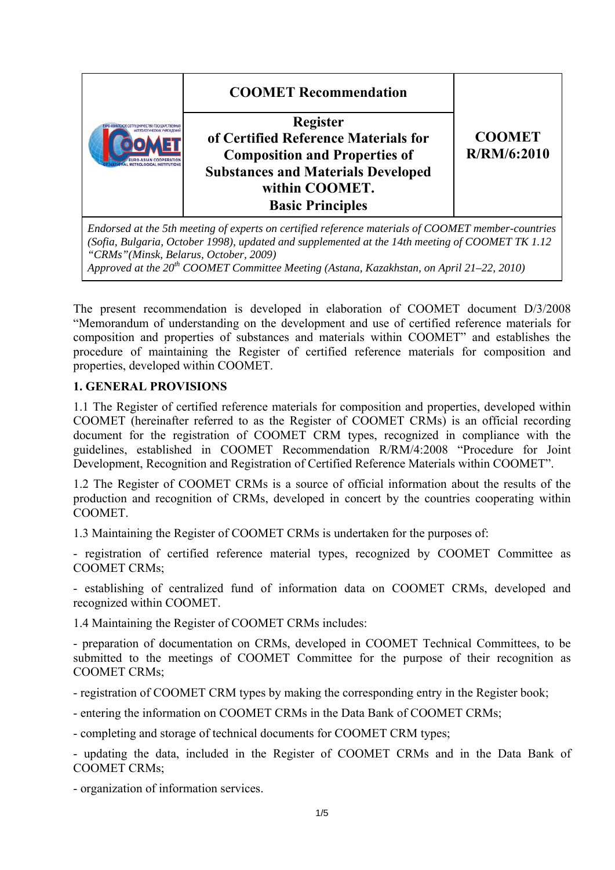|                                        | <b>COOMET Recommendation</b><br><b>Register</b><br>of Certified Reference Materials for<br><b>Composition and Properties of</b><br><b>Substances and Materials Developed</b><br>within COOMET.<br><b>Basic Principles</b> | <b>COOMET</b><br>R/RM/6:2010 |  |
|----------------------------------------|---------------------------------------------------------------------------------------------------------------------------------------------------------------------------------------------------------------------------|------------------------------|--|
| "CRMs" (Minsk, Belarus, October, 2009) | Endorsed at the 5th meeting of experts on certified reference materials of COOMET member-countries<br>(Sofia, Bulgaria, October 1998), updated and supplemented at the 14th meeting of COOMET TK 1.12                     |                              |  |

*Approved at the 20th COOMET Committee Meeting (Astana, Kazakhstan, on April 21–22, 2010)*

The present recommendation is developed in elaboration of COOMET document D/3/2008 "Memorandum of understanding on the development and use of certified reference materials for composition and properties of substances and materials within COOMET" and establishes the procedure of maintaining the Register of certified reference materials for composition and properties, developed within COOMET.

### **1. GENERAL PROVISIONS**

1.1 The Register of certified reference materials for composition and properties, developed within COOMET (hereinafter referred to as the Register of COOMET CRMs) is an official recording document for the registration of COOMET CRM types, recognized in compliance with the guidelines, established in COOMET Recommendation R/RM/4:2008 "Procedure for Joint Development, Recognition and Registration of Certified Reference Materials within COOMET".

1.2 The Register of COOMET CRMs is a source of official information about the results of the production and recognition of CRMs, developed in concert by the countries cooperating within COOMET.

1.3 Maintaining the Register of COOMET CRMs is undertaken for the purposes of:

- registration of certified reference material types, recognized by COOMET Committee as COOMET CRMs;

- establishing of centralized fund of information data on COOMET CRMs, developed and recognized within COOMET.

1.4 Maintaining the Register of COOMET CRMs includes:

- preparation of documentation on CRMs, developed in COOMET Technical Committees, to be submitted to the meetings of COOMET Committee for the purpose of their recognition as COOMET CRMs;

- registration of COOMET CRM types by making the corresponding entry in the Register book;

- entering the information on COOMET CRMs in the Data Bank of COOMET CRMs;

- completing and storage of technical documents for COOMET CRM types;

- updating the data, included in the Register of COOMET CRMs and in the Data Bank of COOMET CRMs;

- organization of information services.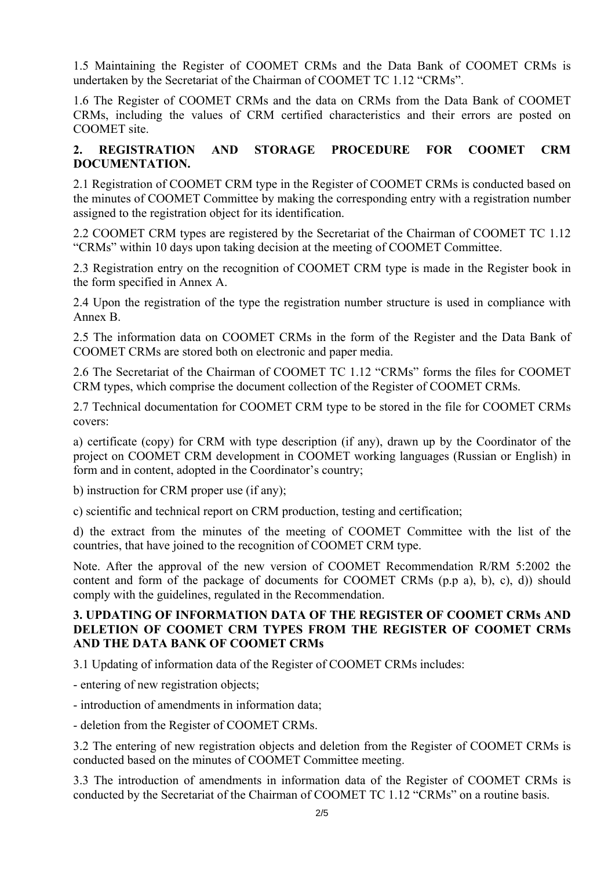1.5 Maintaining the Register of COOMET CRMs and the Data Bank of COOMET CRMs is undertaken by the Secretariat of the Chairman of COOMET TC 1.12 "CRMs".

1.6 The Register of COOMET CRMs and the data on CRMs from the Data Bank of COOMET CRMs, including the values of CRM certified characteristics and their errors are posted on COOMET site.

### **2. REGISTRATION AND STORAGE PROCEDURE FOR COOMET CRM DOCUMENTATION.**

2.1 Registration of COOMET CRM type in the Register of COOMET CRMs is conducted based on the minutes of COOMET Committee by making the corresponding entry with a registration number assigned to the registration object for its identification.

2.2 COOMET CRM types are registered by the Secretariat of the Chairman of COOMET TC 1.12 "CRMs" within 10 days upon taking decision at the meeting of COOMET Committee.

2.3 Registration entry on the recognition of COOMET CRM type is made in the Register book in the form specified in Annex A.

2.4 Upon the registration of the type the registration number structure is used in compliance with Annex B.

2.5 The information data on COOMET CRMs in the form of the Register and the Data Bank of COOMET CRMs are stored both on electronic and paper media.

2.6 The Secretariat of the Chairman of COOMET TC 1.12 "CRMs" forms the files for COOMET CRM types, which comprise the document collection of the Register of COOMET CRMs.

2.7 Technical documentation for COOMET CRM type to be stored in the file for COOMET CRMs covers:

a) certificate (copy) for CRM with type description (if any), drawn up by the Coordinator of the project on COOMET CRM development in COOMET working languages (Russian or English) in form and in content, adopted in the Coordinator's country;

b) instruction for CRM proper use (if any);

c) scientific and technical report on CRM production, testing and certification;

d) the extract from the minutes of the meeting of COOMET Committee with the list of the countries, that have joined to the recognition of COOMET CRM type.

Note. After the approval of the new version of COOMET Recommendation R/RM 5:2002 the content and form of the package of documents for COOMET CRMs (p.p a), b), c), d)) should comply with the guidelines, regulated in the Recommendation.

### **3. UPDATING OF INFORMATION DATA OF THE REGISTER OF COOMET CRMs AND DELETION OF COOMET CRM TYPES FROM THE REGISTER OF COOMET CRMs AND THE DATA BANK OF COOMET CRMs**

3.1 Updating of information data of the Register of COOMET CRMs includes:

- entering of new registration objects;

- introduction of amendments in information data;

- deletion from the Register of COOMET CRMs.

3.2 The entering of new registration objects and deletion from the Register of COOMET CRMs is conducted based on the minutes of COOMET Committee meeting.

3.3 The introduction of amendments in information data of the Register of COOMET CRMs is conducted by the Secretariat of the Chairman of COOMET TC 1.12 "CRMs" on a routine basis.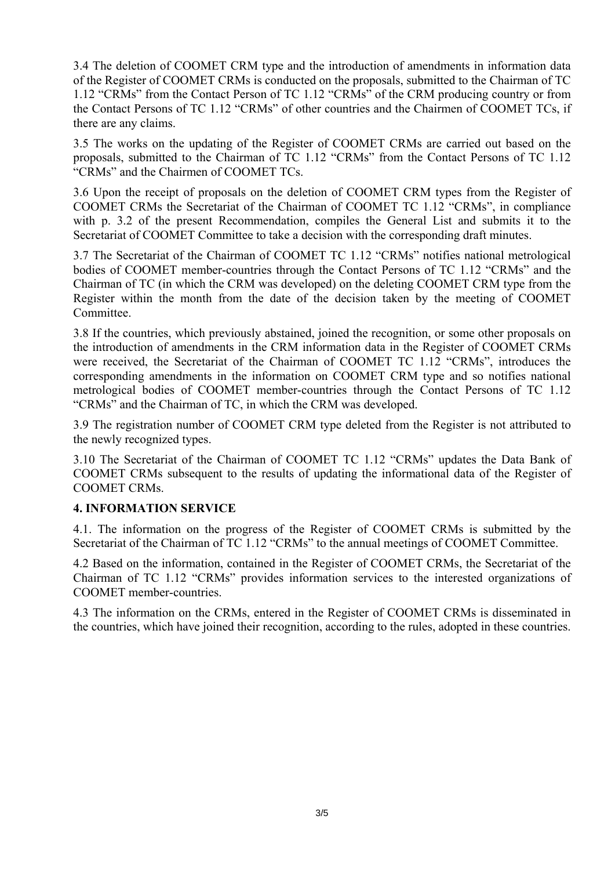3.4 The deletion of COOMET CRM type and the introduction of amendments in information data of the Register of COOMET CRMs is conducted on the proposals, submitted to the Chairman of TC 1.12 "CRMs" from the Contact Person of TC 1.12 "CRMs" of the CRM producing country or from the Contact Persons of TC 1.12 "CRMs" of other countries and the Chairmen of COOMET TCs, if there are any claims.

3.5 The works on the updating of the Register of COOMET CRMs are carried out based on the proposals, submitted to the Chairman of TC 1.12 "CRMs" from the Contact Persons of TC 1.12 "CRMs" and the Chairmen of COOMET TCs.

3.6 Upon the receipt of proposals on the deletion of COOMET CRM types from the Register of COOMET CRMs the Secretariat of the Chairman of COOMET TC 1.12 "CRMs", in compliance with p. 3.2 of the present Recommendation, compiles the General List and submits it to the Secretariat of COOMET Committee to take a decision with the corresponding draft minutes.

3.7 The Secretariat of the Chairman of COOMET TC 1.12 "CRMs" notifies national metrological bodies of COOMET member-countries through the Contact Persons of TC 1.12 "CRMs" and the Chairman of TC (in which the CRM was developed) on the deleting COOMET CRM type from the Register within the month from the date of the decision taken by the meeting of COOMET Committee.

3.8 If the countries, which previously abstained, joined the recognition, or some other proposals on the introduction of amendments in the CRM information data in the Register of COOMET CRMs were received, the Secretariat of the Chairman of COOMET TC 1.12 "CRMs", introduces the corresponding amendments in the information on COOMET CRM type and so notifies national metrological bodies of COOMET member-countries through the Contact Persons of TC 1.12 "CRMs" and the Chairman of TC, in which the CRM was developed.

3.9 The registration number of COOMET CRM type deleted from the Register is not attributed to the newly recognized types.

3.10 The Secretariat of the Chairman of COOMET TC 1.12 "CRMs" updates the Data Bank of COOMET CRMs subsequent to the results of updating the informational data of the Register of COOMET CRMs.

### **4. INFORMATION SERVICE**

4.1. The information on the progress of the Register of COOMET CRMs is submitted by the Secretariat of the Chairman of TC 1.12 "CRMs" to the annual meetings of COOMET Committee.

4.2 Based on the information, contained in the Register of COOMET CRMs, the Secretariat of the Chairman of TC 1.12 "CRMs" provides information services to the interested organizations of COOMET member-countries.

4.3 The information on the CRMs, entered in the Register of COOMET CRMs is disseminated in the countries, which have joined their recognition, according to the rules, adopted in these countries.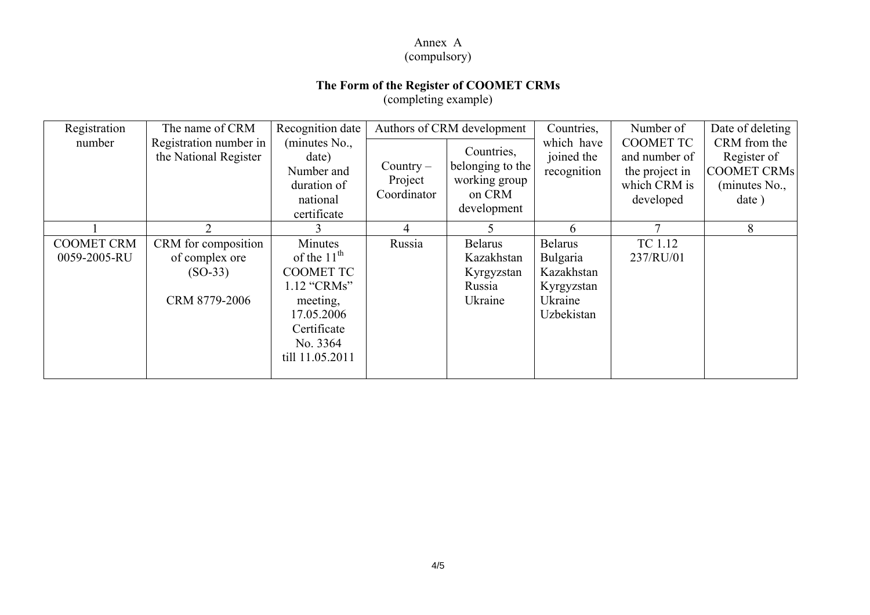#### Annex А

# (compulsory)

### **The Form of the Register of COOMET CRMs**

(completing example)

| Registration                      | The name of CRM                                                     | Recognition date                                                                                                                              | Authors of CRM development            |                                                                          | Countries,                                                                      | Number of                                                                        | Date of deleting                                                            |
|-----------------------------------|---------------------------------------------------------------------|-----------------------------------------------------------------------------------------------------------------------------------------------|---------------------------------------|--------------------------------------------------------------------------|---------------------------------------------------------------------------------|----------------------------------------------------------------------------------|-----------------------------------------------------------------------------|
| number                            | Registration number in<br>the National Register                     | (minutes No.,<br>date)<br>Number and<br>duration of<br>national<br>certificate                                                                | $Country -$<br>Project<br>Coordinator | Countries,<br>belonging to the<br>working group<br>on CRM<br>development | which have<br>joined the<br>recognition                                         | <b>COOMET TC</b><br>and number of<br>the project in<br>which CRM is<br>developed | CRM from the<br>Register of<br><b>COOMET CRMs</b><br>(minutes No.,<br>date) |
|                                   | 2                                                                   |                                                                                                                                               | 4                                     |                                                                          | 6                                                                               |                                                                                  | 8                                                                           |
| <b>COOMET CRM</b><br>0059-2005-RU | CRM for composition<br>of complex ore<br>$(SO-33)$<br>CRM 8779-2006 | Minutes<br>of the 11 <sup>th</sup><br><b>COOMET TC</b><br>1.12 "CRMs"<br>meeting,<br>17.05.2006<br>Certificate<br>No. 3364<br>till 11.05.2011 | Russia                                | <b>Belarus</b><br>Kazakhstan<br>Kyrgyzstan<br>Russia<br>Ukraine          | <b>Belarus</b><br>Bulgaria<br>Kazakhstan<br>Kyrgyzstan<br>Ukraine<br>Uzbekistan | TC 1.12<br>237/RU/01                                                             |                                                                             |